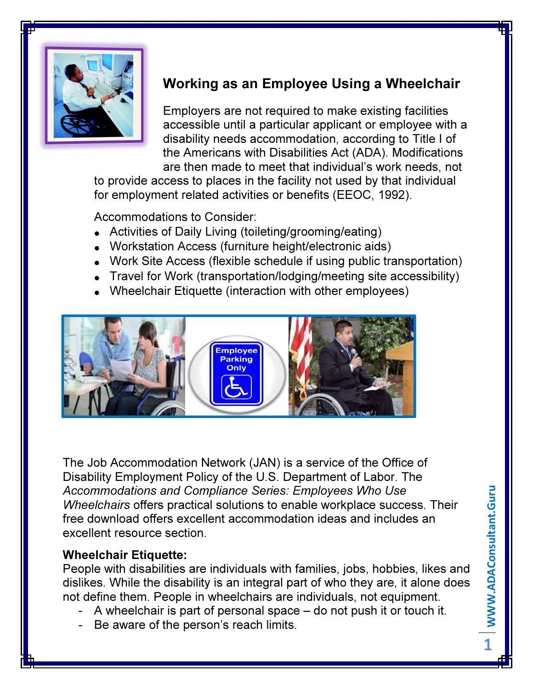

## Working as an Employee Using a Wheelchair

Employers are not required to make existing facilities accessible until a particular applicant or employee with a disability needs accommodation, according to Title I of the Americans with Disabilities Act (ADA). Modifications are then made to meet that individual's work needs, not

to provide access to places in the facility not used by that individual for employment related activities or benefits (EEOC, 1992).

Accommodations to Consider:

- Activities of Daily Living (toileting/grooming/eating)
- Workstation Access (furniture height/electronic aids)
- Work Site Access (flexible schedule if using public transportation)
- Travel for Work (transportation/lodging/meeting site accessibility)
- Wheelchair Etiquette (interaction with other employees)



The Job Accommodation Network (JAN) is a service of the Office of Disability Employment Policy of the U.S. Department of Labor. The Accommodations and Compliance Series: Employees Who Use Wheelchairs offers practical solutions to enable workplace success. Their free download offers excellent accommodation ideas and includes an excellent resource section.

## Wheelchair Etiquette:

People with disabilities are individuals with families, jobs, hobbies, likes and dislikes. While the disability is an integral part of who they are, it alone does not define them. People in wheelchairs are individuals, not equipment.

- A wheelchair is part of personal space do not push it or touch it.
- Be aware of the person's reach limits.